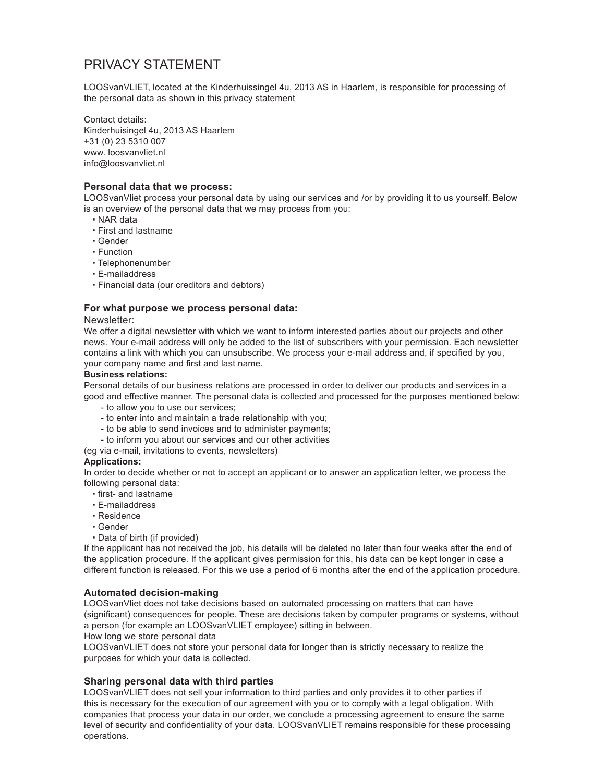# PRIVACY STATEMENT

LOOSvanVLIET, located at the Kinderhuissingel 4u, 2013 AS in Haarlem, is responsible for processing of the personal data as shown in this privacy statement

Contact details: Kinderhuisingel 4u, 2013 AS Haarlem +31 (0) 23 5310 007 www. loosvanvliet.nl info@loosvanvliet.nl

## **Personal data that we process:**

LOOSvanVliet process your personal data by using our services and /or by providing it to us yourself. Below is an overview of the personal data that we may process from you:

- · NAR data
- · First and lastname
- · Gender
- · Function
- · Telephonenumber
- · E-mailaddress
- · Financial data (our creditors and debtors)

# **For what purpose we process personal data:**

#### Newsletter:

We offer a digital newsletter with which we want to inform interested parties about our projects and other news. Your e-mail address will only be added to the list of subscribers with your permission. Each newsletter contains a link with which you can unsubscribe. We process your e-mail address and, if specified by you, your company name and first and last name.

## **Business relations:**

Personal details of our business relations are processed in order to deliver our products and services in a good and effective manner. The personal data is collected and processed for the purposes mentioned below:

- to allow you to use our services;
- to enter into and maintain a trade relationship with you;
- to be able to send invoices and to administer payments;
- to inform you about our services and our other activities
- (eg via e-mail, invitations to events, newsletters)

#### **Applications:**

In order to decide whether or not to accept an applicant or to answer an application letter, we process the following personal data:

- · first- and lastname
- · E-mailaddress
- · Residence
- · Gender
- · Data of birth (if provided)

If the applicant has not received the job, his details will be deleted no later than four weeks after the end of the application procedure. If the applicant gives permission for this, his data can be kept longer in case a different function is released. For this we use a period of 6 months after the end of the application procedure.

# **Automated decision-making**

LOOSvanVliet does not take decisions based on automated processing on matters that can have (significant) consequences for people. These are decisions taken by computer programs or systems, without a person (for example an LOOSvanVLIET employee) sitting in between.

How long we store personal data

LOOSvanVLIET does not store your personal data for longer than is strictly necessary to realize the purposes for which your data is collected.

# **Sharing personal data with third parties**

LOOSvanVLIET does not sell your information to third parties and only provides it to other parties if this is necessary for the execution of our agreement with you or to comply with a legal obligation. With companies that process your data in our order, we conclude a processing agreement to ensure the same level of security and confidentiality of your data. LOOSvanVLIET remains responsible for these processing operations.